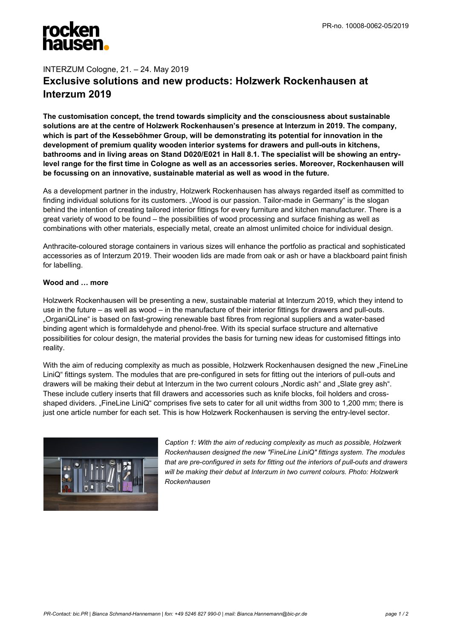## INTERZUM Cologne, 21. – 24. May 2019 **Exclusive solutions and new products: Holzwerk Rockenhausen at Interzum 2019**

**The customisation concept, the trend towards simplicity and the consciousness about sustainable solutions are at the centre of Holzwerk Rockenhausen's presence at Interzum in 2019. The company, which is part of the Kesseböhmer Group, will be demonstrating its potential for innovation in the development of premium quality wooden interior systems for drawers and pull-outs in kitchens, bathrooms and in living areas on Stand D020/E021 in Hall 8.1. The specialist will be showing an entrylevel range for the first time in Cologne as well as an accessories series. Moreover, Rockenhausen will be focussing on an innovative, sustainable material as well as wood in the future.**

As a development partner in the industry, Holzwerk Rockenhausen has always regarded itself as committed to finding individual solutions for its customers. "Wood is our passion. Tailor-made in Germany" is the slogan behind the intention of creating tailored interior fittings for every furniture and kitchen manufacturer. There is a great variety of wood to be found – the possibilities of wood processing and surface finishing as well as combinations with other materials, especially metal, create an almost unlimited choice for individual design.

Anthracite-coloured storage containers in various sizes will enhance the portfolio as practical and sophisticated accessories as of Interzum 2019. Their wooden lids are made from oak or ash or have a blackboard paint finish for labelling.

## **Wood and … more**

Holzwerk Rockenhausen will be presenting a new, sustainable material at Interzum 2019, which they intend to use in the future – as well as wood – in the manufacture of their interior fittings for drawers and pull-outs. "OrganiQLine" is based on fast-growing renewable bast fibres from regional suppliers and a water-based binding agent which is formaldehyde and phenol-free. With its special surface structure and alternative possibilities for colour design, the material provides the basis for turning new ideas for customised fittings into reality.

With the aim of reducing complexity as much as possible, Holzwerk Rockenhausen designed the new "FineLine LiniQ" fittings system. The modules that are pre-configured in sets for fitting out the interiors of pull-outs and drawers will be making their debut at Interzum in the two current colours "Nordic ash" and "Slate grey ash". These include cutlery inserts that fill drawers and accessories such as knife blocks, foil holders and crossshaped dividers. "FineLine LiniQ" comprises five sets to cater for all unit widths from 300 to 1,200 mm; there is just one article number for each set. This is how Holzwerk Rockenhausen is serving the entry-level sector.



*Caption 1: With the aim of reducing complexity as much as possible, Holzwerk Rockenhausen designed the new "FineLine LiniQ" fittings system. The modules that are pre-configured in sets for fitting out the interiors of pull-outs and drawers will be making their debut at Interzum in two current colours. Photo: Holzwerk Rockenhausen*